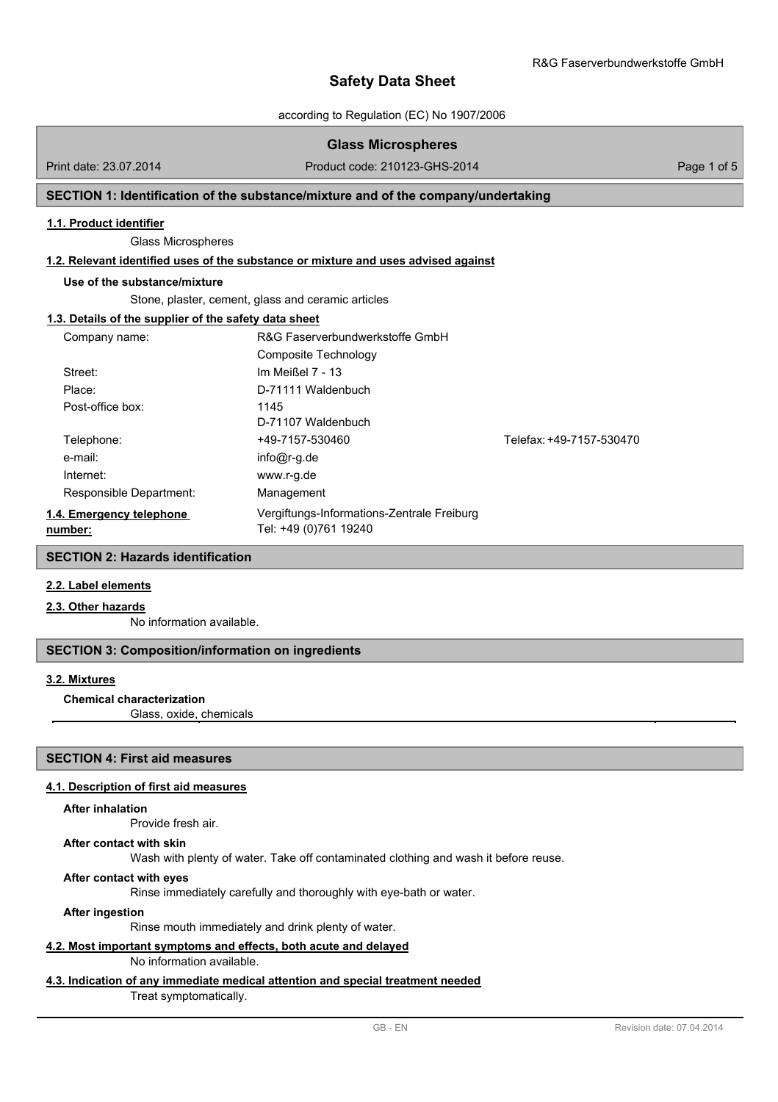according to Regulation (EC) No 1907/2006

## **Glass Microspheres**

Print date: 23.07.2014 Product code: 210123-GHS-2014 Page 1 of 5

## **SECTION 1: Identification of the substance/mixture and of the company/undertaking**

#### **1.1. Product identifier**

Glass Microspheres

## **1.2. Relevant identified uses of the substance or mixture and uses advised against**

#### **Use of the substance/mixture**

Stone, plaster, cement, glass and ceramic articles

## **1.3. Details of the supplier of the safety data sheet**

| Company name:                       | R&G Faserverbundwerkstoffe GmbH                                     |                          |
|-------------------------------------|---------------------------------------------------------------------|--------------------------|
|                                     | Composite Technology                                                |                          |
| Street:                             | Im Meißel 7 - 13                                                    |                          |
| Place:                              | D-71111 Waldenbuch                                                  |                          |
| Post-office box:                    | 1145                                                                |                          |
|                                     | D-71107 Waldenbuch                                                  |                          |
| Telephone:                          | +49-7157-530460                                                     | Telefax: +49-7157-530470 |
| e-mail:                             | $info@r-q.de$                                                       |                          |
| Internet:                           | www.r-g.de                                                          |                          |
| Responsible Department:             | Management                                                          |                          |
| 1.4. Emergency telephone<br>number: | Vergiftungs-Informations-Zentrale Freiburg<br>Tel: +49 (0)761 19240 |                          |

## **SECTION 2: Hazards identification**

## **2.2. Label elements**

## **2.3. Other hazards**

No information available.

#### **SECTION 3: Composition/information on ingredients**

#### **3.2. Mixtures**

#### **Chemical characterization**

Glass, oxide, chemicals

## **SECTION 4: First aid measures**

#### **4.1. Description of first aid measures**

#### **After inhalation**

Provide fresh air.

#### **After contact with skin**

Wash with plenty of water. Take off contaminated clothing and wash it before reuse.

#### **After contact with eyes**

Rinse immediately carefully and thoroughly with eye-bath or water.

**After ingestion**

Rinse mouth immediately and drink plenty of water.

#### **4.2. Most important symptoms and effects, both acute and delayed**

## No information available.

## **4.3. Indication of any immediate medical attention and special treatment needed**

Treat symptomatically.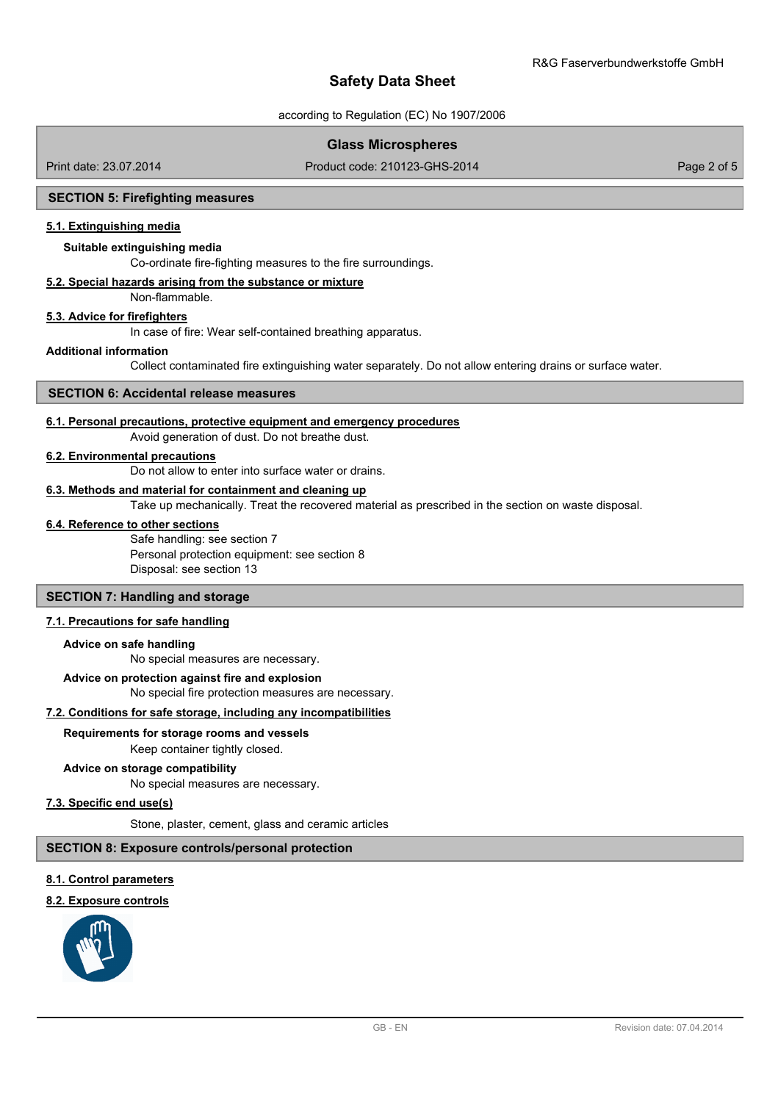according to Regulation (EC) No 1907/2006

## **Glass Microspheres**

Print date: 23.07.2014 Product code: 210123-GHS-2014 Page 2 of 5

## **SECTION 5: Firefighting measures**

## **5.1. Extinguishing media**

#### **Suitable extinguishing media**

Co-ordinate fire-fighting measures to the fire surroundings.

#### **5.2. Special hazards arising from the substance or mixture**

Non-flammable.

#### **5.3. Advice for firefighters**

In case of fire: Wear self-contained breathing apparatus.

#### **Additional information**

Collect contaminated fire extinguishing water separately. Do not allow entering drains or surface water.

#### **SECTION 6: Accidental release measures**

#### **6.1. Personal precautions, protective equipment and emergency procedures**

Avoid generation of dust. Do not breathe dust.

#### **6.2. Environmental precautions**

Do not allow to enter into surface water or drains.

#### **6.3. Methods and material for containment and cleaning up**

Take up mechanically. Treat the recovered material as prescribed in the section on waste disposal.

#### **6.4. Reference to other sections**

Safe handling: see section 7 Personal protection equipment: see section 8 Disposal: see section 13

## **SECTION 7: Handling and storage**

## **7.1. Precautions for safe handling**

#### **Advice on safe handling**

No special measures are necessary.

#### **Advice on protection against fire and explosion**

No special fire protection measures are necessary.

## **7.2. Conditions for safe storage, including any incompatibilities**

#### **Requirements for storage rooms and vessels**

Keep container tightly closed.

## **Advice on storage compatibility**

No special measures are necessary.

#### **7.3. Specific end use(s)**

Stone, plaster, cement, glass and ceramic articles

#### **SECTION 8: Exposure controls/personal protection**

#### **8.1. Control parameters**

#### **8.2. Exposure controls**

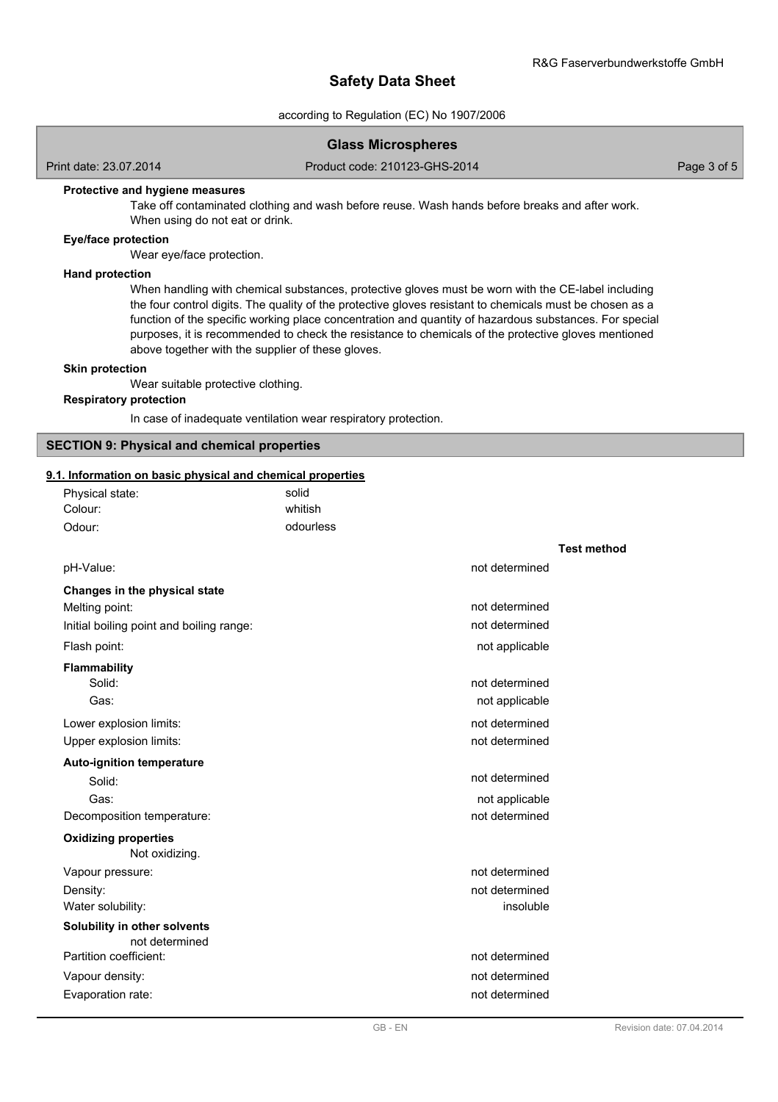#### according to Regulation (EC) No 1907/2006

## **Glass Microspheres**

Print date: 23.07.2014 Product code: 210123-GHS-2014 Page 3 of 5

#### **Protective and hygiene measures**

Take off contaminated clothing and wash before reuse. Wash hands before breaks and after work. When using do not eat or drink.

## **Eye/face protection**

Wear eye/face protection.

#### **Hand protection**

When handling with chemical substances, protective gloves must be worn with the CE-label including the four control digits. The quality of the protective gloves resistant to chemicals must be chosen as a function of the specific working place concentration and quantity of hazardous substances. For special purposes, it is recommended to check the resistance to chemicals of the protective gloves mentioned above together with the supplier of these gloves.

#### **Skin protection**

Wear suitable protective clothing.

## **Respiratory protection**

In case of inadequate ventilation wear respiratory protection.

#### **SECTION 9: Physical and chemical properties**

#### **9.1. Information on basic physical and chemical properties**

| Physical state:                                | solid     |                    |
|------------------------------------------------|-----------|--------------------|
| Colour:                                        | whitish   |                    |
| Odour:                                         | odourless |                    |
|                                                |           | <b>Test method</b> |
| pH-Value:                                      |           | not determined     |
| Changes in the physical state                  |           |                    |
| Melting point:                                 |           | not determined     |
| Initial boiling point and boiling range:       |           | not determined     |
| Flash point:                                   |           | not applicable     |
| <b>Flammability</b>                            |           |                    |
| Solid:                                         |           | not determined     |
| Gas:                                           |           | not applicable     |
| Lower explosion limits:                        |           | not determined     |
| Upper explosion limits:                        |           | not determined     |
| <b>Auto-ignition temperature</b>               |           |                    |
| Solid:                                         |           | not determined     |
| Gas:                                           |           | not applicable     |
| Decomposition temperature:                     |           | not determined     |
| <b>Oxidizing properties</b><br>Not oxidizing.  |           |                    |
| Vapour pressure:                               |           | not determined     |
| Density:                                       |           | not determined     |
| Water solubility:                              |           | insoluble          |
| Solubility in other solvents<br>not determined |           |                    |
| Partition coefficient:                         |           | not determined     |
| Vapour density:                                |           | not determined     |
| Evaporation rate:                              |           | not determined     |
|                                                |           |                    |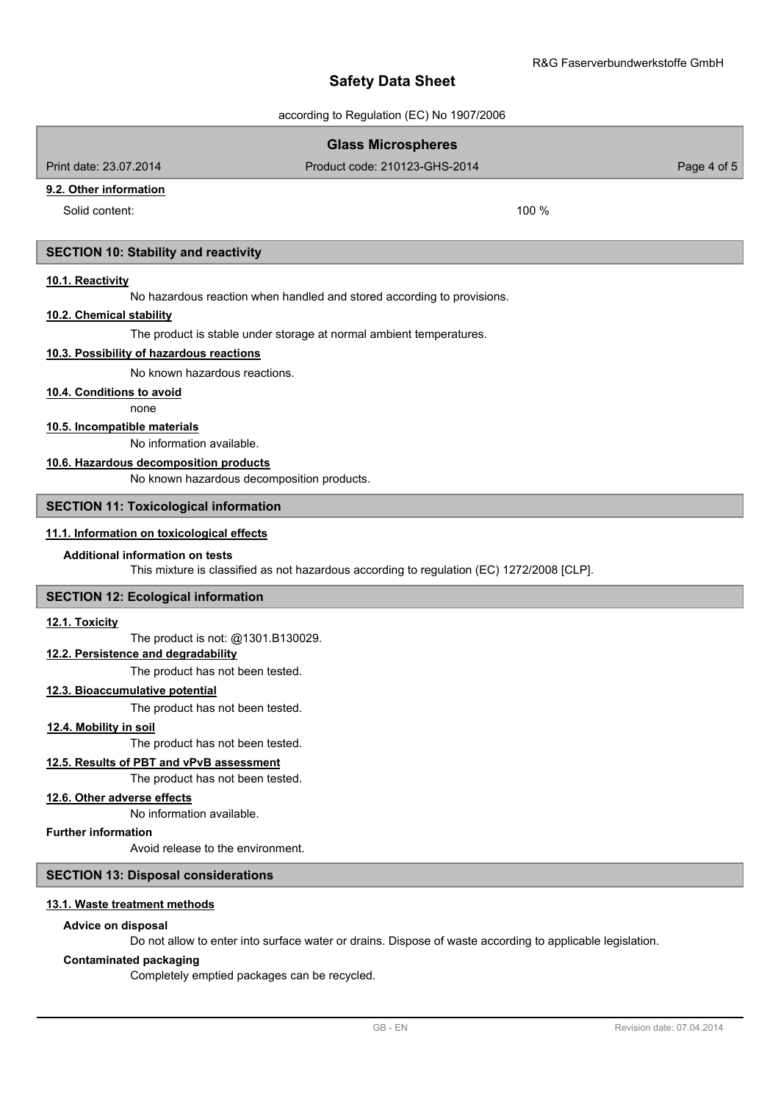according to Regulation (EC) No 1907/2006

# **Glass Microspheres** Print date: 23.07.2014 Product code: 210123-GHS-2014 Page 4 of 5 **9.2. Other information** Solid content: 100 % **SECTION 10: Stability and reactivity 10.1. Reactivity** No hazardous reaction when handled and stored according to provisions. **10.2. Chemical stability** The product is stable under storage at normal ambient temperatures. **10.3. Possibility of hazardous reactions** No known hazardous reactions. none **10.4. Conditions to avoid** No information available. **10.5. Incompatible materials** No known hazardous decomposition products. **10.6. Hazardous decomposition products SECTION 11: Toxicological information**

# **11.1. Information on toxicological effects**

## **Additional information on tests**

This mixture is classified as not hazardous according to regulation (EC) 1272/2008 [CLP].

#### **SECTION 12: Ecological information**

#### **12.1. Toxicity**

The product is not: @1301.B130029.

## **12.2. Persistence and degradability**

The product has not been tested.

## **12.3. Bioaccumulative potential**

The product has not been tested.

#### **12.4. Mobility in soil**

The product has not been tested.

## **12.5. Results of PBT and vPvB assessment**

The product has not been tested.

## **12.6. Other adverse effects**

No information available.

## **Further information**

Avoid release to the environment.

## **SECTION 13: Disposal considerations**

#### **13.1. Waste treatment methods**

## **Advice on disposal**

Do not allow to enter into surface water or drains. Dispose of waste according to applicable legislation.

## **Contaminated packaging**

Completely emptied packages can be recycled.